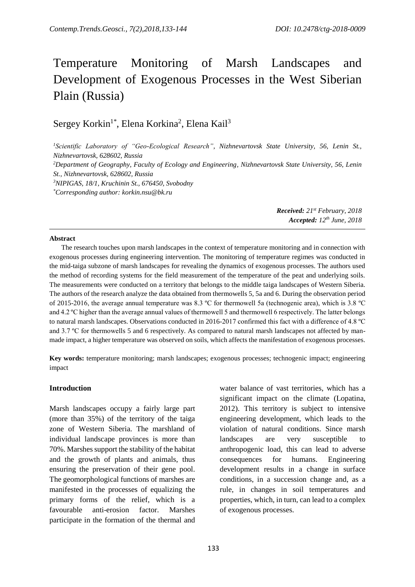# Temperature Monitoring of Marsh Landscapes and Development of Exogenous Processes in the West Siberian Plain (Russia)

Sergey Korkin<sup>1\*</sup>, Elena Korkina<sup>2</sup>, Elena Kail<sup>3</sup>

*<sup>1</sup>Scientific Laboratory of "Geo-Ecological Research", Nizhnevartovsk State University, 56, Lenin St., Nizhnevartovsk, 628602, Russia*

*<sup>2</sup>Department of Geography, Faculty of Ecology and Engineering, Nizhnevartovsk State University, 56, Lenin St., Nizhnevartovsk, 628602, Russia*

*<sup>3</sup>NIPIGAS, 18/1, Kruchinin St., 676450, Svobodny*

*\*Corresponding author: korkin.nsu@bk.ru*

*Received: 21st February, 2018 Accepted: 12 th June, 2018*

#### **Abstract**

The research touches upon marsh landscapes in the context of temperature monitoring and in connection with exogenous processes during engineering intervention. The monitoring of temperature regimes was conducted in the mid-taiga subzone of marsh landscapes for revealing the dynamics of exogenous processes. The authors used the method of recording systems for the field measurement of the temperature of the peat and underlying soils. The measurements were conducted on a territory that belongs to the middle taiga landscapes of Western Siberia. The authors of the research analyze the data obtained from thermowells 5, 5a and 6. During the observation period of 2015-2016, the average annual temperature was 8.3 ºС for thermowell 5a (technogenic area), which is 3.8 ºС and 4.2 ºС higher than the average annual values of thermowell 5 and thermowell 6 respectively. The latter belongs to natural marsh landscapes. Observations conducted in 2016-2017 confirmed this fact with a difference of 4.8 °C and 3.7 °C for thermowells 5 and 6 respectively. As compared to natural marsh landscapes not affected by manmade impact, a higher temperature was observed on soils, which affects the manifestation of exogenous processes.

**Key words:** temperature monitoring; marsh landscapes; exogenous processes; technogenic impact; engineering impact

#### **Introduction**

Marsh landscapes occupy a fairly large part (more than 35%) of the territory of the taiga zone of Western Siberia. The marshland of individual landscape provinces is more than 70%. Marshes support the stability of the habitat and the growth of plants and animals, thus ensuring the preservation of their gene pool. The geomorphological functions of marshes are manifested in the processes of equalizing the primary forms of the relief, which is a favourable anti-erosion factor. Marshes participate in the formation of the thermal and

water balance of vast territories, which has a significant impact on the climate (Lopatina, 2012). This territory is subject to intensive engineering development, which leads to the violation of natural conditions. Since marsh landscapes are very susceptible to anthropogenic load, this can lead to adverse consequences for humans. Engineering development results in a change in surface conditions, in a succession change and, as a rule, in changes in soil temperatures and properties, which, in turn, can lead to a complex of exogenous processes.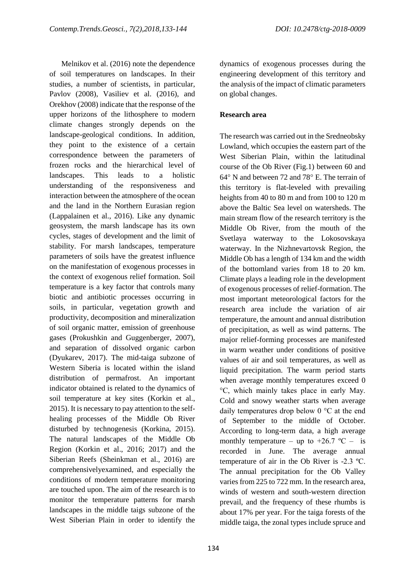Melnikov et al. (2016) note the dependence of soil temperatures on landscapes. In their studies, a number of scientists, in particular, Pavlov (2008), Vasiliev et al. (2016), and Orekhov (2008) indicate that the response of the upper horizons of the lithosphere to modern climate changes strongly depends on the landscape-geological conditions. In addition, they point to the existence of a certain correspondence between the parameters of frozen rocks and the hierarchical level of landscapes. This leads to a holistic understanding of the responsiveness and interaction between the atmosphere of the ocean and the land in the Northern Eurasian region (Lappalainen et al., 2016). Like any dynamic geosystem, the marsh landscape has its own cycles, stages of development and the limit of stability. For marsh landscapes, temperature parameters of soils have the greatest influence on the manifestation of exogenous processes in the context of exogenous relief formation. Soil temperature is a key factor that controls many biotic and antibiotic processes occurring in soils, in particular, vegetation growth and productivity, decomposition and mineralization of soil organic matter, emission of greenhouse gases (Prokushkin and Guggenberger, 2007), and separation of dissolved organic carbon (Dyukarev, 2017). The mid-taiga subzone of Western Siberia is located within the island distribution of permafrost. An important indicator obtained is related to the dynamics of soil temperature at key sites (Korkin et al., 2015). It is necessary to pay attention to the selfhealing processes of the Middle Ob River disturbed by technogenesis (Korkina, 2015). The natural landscapes of the Middle Ob Region (Korkin et al., 2016; 2017) and the Siberian Reefs (Sheinkman et al., 2016) are comprehensivelyexamined, and especially the conditions of modern temperature monitoring are touched upon. The aim of the research is to monitor the temperature patterns for marsh landscapes in the middle taigs subzone of the West Siberian Plain in order to identify the dynamics of exogenous processes during the engineering development of this territory and the analysis of the impact of climatic parameters on global changes.

## **Research area**

The research was carried out in the Sredneobsky Lowland, which occupies the eastern part of the West Siberian Plain, within the latitudinal course of the Ob River (Fig.1) between 60 and  $64^{\circ}$  N and between 72 and 78 $^{\circ}$  E. The terrain of this territory is flat-leveled with prevailing heights from 40 to 80 m and from 100 to 120 m above the Baltic Sea level on watersheds. The main stream flow of the research territory is the Middle Ob River, from the mouth of the Svetlaya waterway to the Lokosovskaya waterway. In the Nizhnevartovsk Region, the Middle Ob has a length of 134 km and the width of the bottomland varies from 18 to 20 km. Climate plays a leading role in the development of exogenous processes of relief-formation. The most important meteorological factors for the research area include the variation of air temperature, the amount and annual distribution of precipitation, as well as wind patterns. The major relief-forming processes are manifested in warm weather under conditions of positive values of air and soil temperatures, as well as liquid precipitation. The warm period starts when average monthly temperatures exceed 0 °C, which mainly takes place in early May. Cold and snowy weather starts when average daily temperatures drop below 0 °C at the end of September to the middle of October. According to long-term data, a high average monthly temperature – up to  $+26.7$  °C – is recorded in June. The average annual temperature of air in the Ob River is -2.3 ºС. The annual precipitation for the Ob Valley varies from 225 to 722 mm. In the research area, winds of western and south-western direction prevail, and the frequency of these rhumbs is about 17% per year. For the taiga forests of the middle taiga, the zonal types include spruce and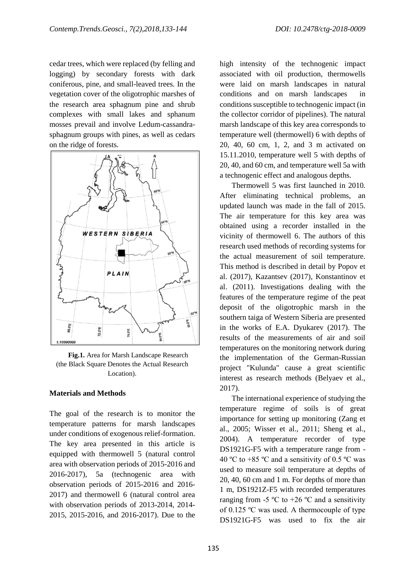cedar trees, which were replaced (by felling and logging) by secondary forests with dark coniferous, pine, and small-leaved trees. In the vegetation cover of the oligotrophic marshes of the research area sphagnum pine and shrub complexes with small lakes and sphanum mosses prevail and involve Ledum-cassandrasphagnum groups with pines, as well as cedars on the ridge of forests.



**Fig.1.** Area for Marsh Landscape Research (the Black Square Denotes the Actual Research Location).

### **Materials and Methods**

The goal of the research is to monitor the temperature patterns for marsh landscapes under conditions of exogenous relief-formation. The key area presented in this article is equipped with thermowell 5 (natural control area with observation periods of 2015-2016 and 2016-2017), 5a (technogenic area with observation periods of 2015-2016 and 2016- 2017) and thermowell 6 (natural control area with observation periods of 2013-2014, 2014- 2015, 2015-2016, and 2016-2017). Due to the high intensity of the technogenic impact associated with oil production, thermowells were laid on marsh landscapes in natural conditions and on marsh landscapes in conditions susceptible to technogenic impact (in the collector corridor of pipelines). The natural marsh landscape of this key area corresponds to temperature well (thermowell) 6 with depths of 20, 40, 60 cm, 1, 2, and 3 m activated on 15.11.2010, temperature well 5 with depths of 20, 40, and 60 cm, and temperature well 5a with a technogenic effect and analogous depths.

Thermowell 5 was first launched in 2010. After eliminating technical problems, an updated launch was made in the fall of 2015. The air temperature for this key area was obtained using a recorder installed in the vicinity of thermowell 6. The authors of this research used methods of recording systems for the actual measurement of soil temperature. This method is described in detail by Popov et al. (2017), Kazantsev (2017), Konstantinov et al. (2011). Investigations dealing with the features of the temperature regime of the peat deposit of the oligotrophic marsh in the southern taiga of Western Siberia are presented in the works of E.A. Dyukarev (2017). The results of the measurements of air and soil temperatures on the monitoring network during the implementation of the German-Russian project "Kulunda" cause a great scientific interest as research methods (Belyaev et al., 2017).

The international experience of studying the temperature regime of soils is of great importance for setting up monitoring (Zang et al., 2005; Wisser et al., 2011; Sheng et al., 2004). A temperature recorder of type DS1921G-F5 with a temperature range from - 40 °C to  $+85$  °C and a sensitivity of 0.5 °C was used to measure soil temperature at depths of 20, 40, 60 cm and 1 m. For depths of more than 1 m, DS1921Z-F5 with recorded temperatures ranging from -5  $\rm{^{\circ}C}$  to +26  $\rm{^{\circ}C}$  and a sensitivity of 0.125 ºC was used. A thermocouple of type DS1921G-F5 was used to fix the air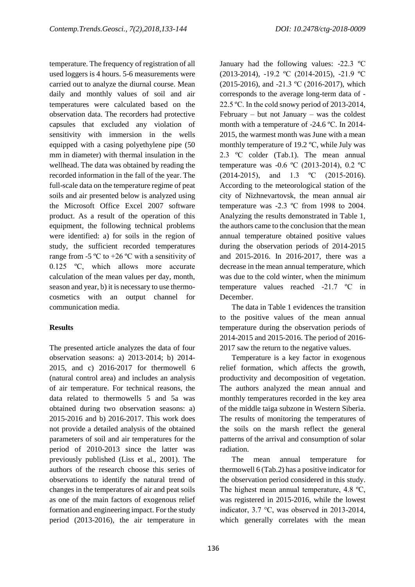temperature. The frequency of registration of all used loggers is 4 hours. 5-6 measurements were carried out to analyze the diurnal course. Mean daily and monthly values of soil and air temperatures were calculated based on the observation data. The recorders had protective capsules that excluded any violation of sensitivity with immersion in the wells equipped with a casing polyethylene pipe (50 mm in diameter) with thermal insulation in the wellhead. The data was obtained by reading the recorded information in the fall of the year. The full-scale data on the temperature regime of peat soils and air presented below is analyzed using the Microsoft Office Excel 2007 software product. As a result of the operation of this equipment, the following technical problems were identified: a) for soils in the region of study, the sufficient recorded temperatures range from -5  $\rm{^{\circ}C}$  to +26  $\rm{^{\circ}C}$  with a sensitivity of 0.125 ºC, which allows more accurate calculation of the mean values per day, month, season and year, b) it is necessary to use thermocosmetics with an output channel for communication media.

# **Results**

The presented article analyzes the data of four observation seasons: a) 2013-2014; b) 2014- 2015, and c) 2016-2017 for thermowell 6 (natural control area) and includes an analysis of air temperature. For technical reasons, the data related to thermowells 5 and 5a was obtained during two observation seasons: a) 2015-2016 and b) 2016-2017. This work does not provide a detailed analysis of the obtained parameters of soil and air temperatures for the period of 2010-2013 since the latter was previously published (Liss et al., 2001). The authors of the research choose this series of observations to identify the natural trend of changes in the temperatures of air and peat soils as one of the main factors of exogenous relief formation and engineering impact. For the study period (2013-2016), the air temperature in January had the following values: -22.3 ºC (2013-2014), -19.2 ºC (2014-2015), -21.9 ºC (2015-2016), and -21.3 ºC (2016-2017), which corresponds to the average long-term data of - 22.5 ºС. In the cold snowy period of 2013-2014,  $February - but not January - was the coldest$ month with a temperature of -24.6 ºС. In 2014- 2015, the warmest month was June with a mean monthly temperature of 19.2 ºС, while July was 2.3 ºС colder (Tab.1). The mean annual temperature was -0.6 ºC (2013-2014), 0.2 ºC (2014-2015), and 1.3 ºC (2015-2016). According to the meteorological station of the city of Nizhnevartovsk, the mean annual air temperature was -2.3 ºC from 1998 to 2004. Analyzing the results demonstrated in Table 1, the authors came to the conclusion that the mean annual temperature obtained positive values during the observation periods of 2014-2015 and 2015-2016. In 2016-2017, there was a decrease in the mean annual temperature, which was due to the cold winter, when the minimum temperature values reached -21.7 ºС in December.

The data in Table 1 evidences the transition to the positive values of the mean annual temperature during the observation periods of 2014-2015 and 2015-2016. The period of 2016- 2017 saw the return to the negative values.

Temperature is a key factor in exogenous relief formation, which affects the growth, productivity and decomposition of vegetation. The authors analyzed the mean annual and monthly temperatures recorded in the key area of the middle taiga subzone in Western Siberia. The results of monitoring the temperatures of the soils on the marsh reflect the general patterns of the arrival and consumption of solar radiation.

The mean annual temperature for thermowell 6 (Tab.2) has a positive indicator for the observation period considered in this study. The highest mean annual temperature, 4.8 °C, was registered in 2015-2016, while the lowest indicator, 3.7 °C, was observed in 2013-2014, which generally correlates with the mean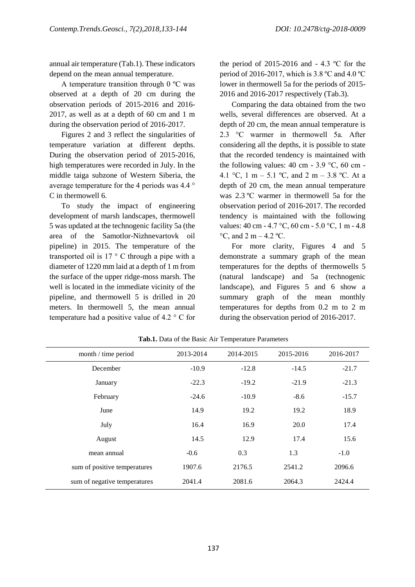annual air temperature (Tab.1). These indicators depend on the mean annual temperature.

A temperature transition through 0 ºC was observed at a depth of 20 cm during the observation periods of 2015-2016 and 2016- 2017, as well as at a depth of 60 cm and 1 m during the observation period of 2016-2017.

Figures 2 and 3 reflect the singularities of temperature variation at different depths. During the observation period of 2015-2016, high temperatures were recorded in July. In the middle taiga subzone of Western Siberia, the average temperature for the 4 periods was 4.4 ° C in thermowell 6.

To study the impact of engineering development of marsh landscapes, thermowell 5 was updated at the technogenic facility 5a (the area of the Samotlor-Nizhnevartovk oil pipeline) in 2015. The temperature of the transported oil is  $17 \degree$  C through a pipe with a diameter of 1220 mm laid at a depth of 1 m from the surface of the upper ridge-moss marsh. The well is located in the immediate vicinity of the pipeline, and thermowell 5 is drilled in 20 meters. In thermowell 5, the mean annual temperature had a positive value of 4.2 ° C for the period of 2015-2016 and  $-4.3$  °C for the period of 2016-2017, which is 3.8 ºС and 4.0 ºС lower in thermowell 5a for the periods of 2015- 2016 and 2016-2017 respectively (Tab.3).

Comparing the data obtained from the two wells, several differences are observed. At a depth of 20 cm, the mean annual temperature is 2.3 °C warmer in thermowell 5a. After considering all the depths, it is possible to state that the recorded tendency is maintained with the following values:  $40 \text{ cm} - 3.9 \text{ °C}$ ,  $60 \text{ cm}$ 4.1 °C, 1 m – 5.1 °C, and 2 m – 3.8 °C. At a depth of 20 cm, the mean annual temperature was 2.3 °C warmer in thermowell 5a for the observation period of 2016-2017. The recorded tendency is maintained with the following values: 40 cm - 4.7 °C, 60 cm - 5.0 °C, 1 m - 4.8  $\rm{^{\circ}C}$ , and 2 m – 4.2  $\rm{^{\circ}C}$ .

For more clarity, Figures 4 and 5 demonstrate a summary graph of the mean temperatures for the depths of thermowells 5 (natural landscape) and 5a (technogenic landscape), and Figures 5 and 6 show a summary graph of the mean monthly temperatures for depths from 0.2 m to 2 m during the observation period of 2016-2017.

| month / time period          | 2013-2014 | 2014-2015 | 2015-2016 | 2016-2017 |
|------------------------------|-----------|-----------|-----------|-----------|
| December                     | $-10.9$   | $-12.8$   | $-14.5$   | $-21.7$   |
| January                      | $-22.3$   | $-19.2$   | $-21.9$   | $-21.3$   |
| February                     | $-24.6$   | $-10.9$   | $-8.6$    | $-15.7$   |
| June                         | 14.9      | 19.2      | 19.2      | 18.9      |
| July                         | 16.4      | 16.9      | 20.0      | 17.4      |
| August                       | 14.5      | 12.9      | 17.4      | 15.6      |
| mean annual                  | $-0.6$    | 0.3       | 1.3       | $-1.0$    |
| sum of positive temperatures | 1907.6    | 2176.5    | 2541.2    | 2096.6    |
| sum of negative temperatures | 2041.4    | 2081.6    | 2064.3    | 2424.4    |

**Tab.1.** Data of the Basic Air Temperature Parameters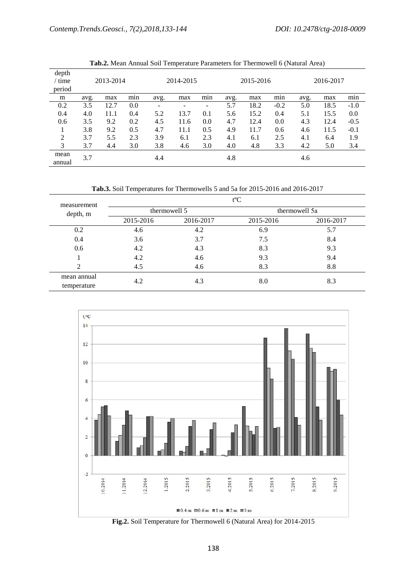|                           |           |      |                |      | л.        |     |           |      |        |      |      |        |
|---------------------------|-----------|------|----------------|------|-----------|-----|-----------|------|--------|------|------|--------|
| depth<br>/ time<br>period | 2013-2014 |      | 2014-2015      |      | 2015-2016 |     | 2016-2017 |      |        |      |      |        |
| m                         | avg.      | max  | $\cdot$<br>min | avg. | max       | min | avg.      | max  | min    | avg. | max  | min    |
| 0.2                       | 3.5       | 12.7 | 0.0            |      |           | -   | 5.7       | 18.2 | $-0.2$ | 5.0  | 18.5 | $-1.0$ |
| 0.4                       | 4.0       | 11.1 | 0.4            | 5.2  | 13.7      | 0.1 | 5.6       | 15.2 | 0.4    | 5.1  | 15.5 | 0.0    |
| 0.6                       | 3.5       | 9.2  | 0.2            | 4.5  | 11.6      | 0.0 | 4.7       | 12.4 | 0.0    | 4.3  | 12.4 | $-0.5$ |
|                           | 3.8       | 9.2  | 0.5            | 4.7  | 11.1      | 0.5 | 4.9       | 11.7 | 0.6    | 4.6  | 11.5 | $-0.1$ |
| $\overline{2}$            | 3.7       | 5.5  | 2.3            | 3.9  | 6.1       | 2.3 | 4.1       | 6.1  | 2.5    | 4.1  | 6.4  | 1.9    |
| 3                         | 3.7       | 4.4  | 3.0            | 3.8  | 4.6       | 3.0 | 4.0       | 4.8  | 3.3    | 4.2  | 5.0  | 3.4    |
| mean<br>annual            | 3.7       |      |                | 4.4  |           |     | 4.8       |      |        | 4.6  |      |        |

**Tab.2.** Mean Annual Soil Temperature Parameters for Thermowell 6 (Natural Area)

**Tab.3.** Soil Temperatures for Thermowells 5 and 5a for 2015-2016 and 2016-2017

| measurement<br>depth, m | $t^{\circ}C$ |              |               |           |  |  |  |
|-------------------------|--------------|--------------|---------------|-----------|--|--|--|
|                         |              | thermowell 5 | thermowell 5a |           |  |  |  |
|                         | 2015-2016    | 2016-2017    | 2015-2016     | 2016-2017 |  |  |  |
| 0.2                     | 4.6          | 4.2          | 6.9           | 5.7       |  |  |  |
| 0.4                     | 3.6          | 3.7          | 7.5           | 8.4       |  |  |  |
| 0.6                     | 4.2          | 4.3          | 8.3           | 9.3       |  |  |  |
|                         | 4.2          | 4.6          | 9.3           | 9.4       |  |  |  |
| ↑                       | 4.5          | 4.6          | 8.3           | 8.8       |  |  |  |
| mean annual             | 4.2          | 4.3          | 8.0           | 8.3       |  |  |  |
| temperature             |              |              |               |           |  |  |  |



**Fig.2.** Soil Temperature for Thermowell 6 (Natural Area) for 2014-2015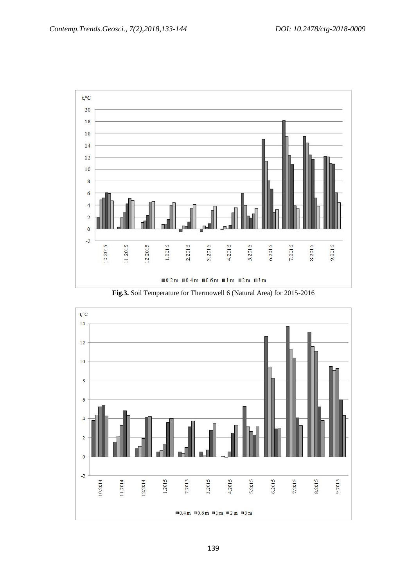

**Fig.3.** Soil Temperature for Thermowell 6 (Natural Area) for 2015-2016

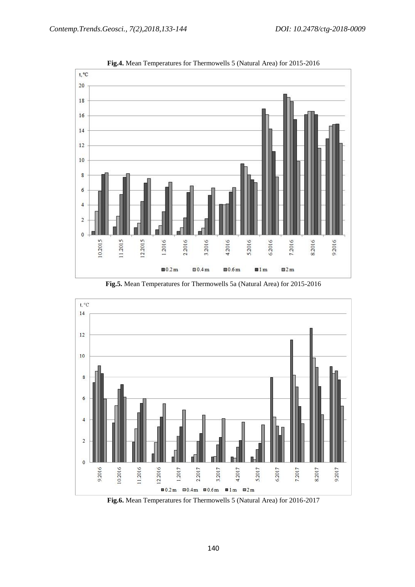

**Fig.4.** Mean Temperatures for Thermowells 5 (Natural Area) for 2015-2016

**Fig.5.** Mean Temperatures for Thermowells 5a (Natural Area) for 2015-2016



**Fig.6.** Mean Temperatures for Thermowells 5 (Natural Area) for 2016-2017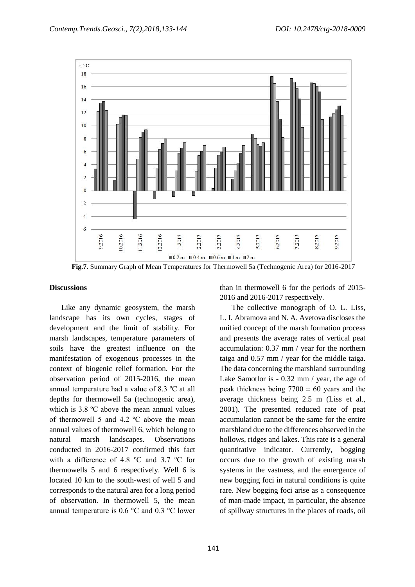

**Fig.7.** Summary Graph of Mean Temperatures for Thermowell 5a (Technogenic Area) for 2016-2017

#### **Discussions**

Like any dynamic geosystem, the marsh landscape has its own cycles, stages of development and the limit of stability. For marsh landscapes, temperature parameters of soils have the greatest influence on the manifestation of exogenous processes in the context of biogenic relief formation. For the observation period of 2015-2016, the mean annual temperature had a value of 8.3 ºС at all depths for thermowell 5a (technogenic area), which is 3.8 °C above the mean annual values of thermowell 5 and 4.2 ºС above the mean annual values of thermowell 6, which belong to natural marsh landscapes. Observations conducted in 2016-2017 confirmed this fact with a difference of 4.8 °C and 3.7 °C for thermowells 5 and 6 respectively. Well 6 is located 10 km to the south-west of well 5 and corresponds to the natural area for a long period of observation. In thermowell 5, the mean annual temperature is 0.6 °C and 0.3 °C lower

than in thermowell 6 for the periods of 2015- 2016 and 2016-2017 respectively.

The collective monograph of O. L. Liss, L. I. Abramova and N. A. Avetova discloses the unified concept of the marsh formation process and presents the average rates of vertical peat accumulation: 0.37 mm / year for the northern taiga and 0.57 mm / year for the middle taiga. The data concerning the marshland surrounding Lake Samotlor is - 0.32 mm / year, the age of peak thickness being  $7700 \pm 60$  years and the average thickness being 2.5 m (Liss et al., 2001). The presented reduced rate of peat accumulation cannot be the same for the entire marshland due to the differences observed in the hollows, ridges and lakes. This rate is a general quantitative indicator. Currently, bogging occurs due to the growth of existing marsh systems in the vastness, and the emergence of new bogging foci in natural conditions is quite rare. New bogging foci arise as a consequence of man-made impact, in particular, the absence of spillway structures in the places of roads, oil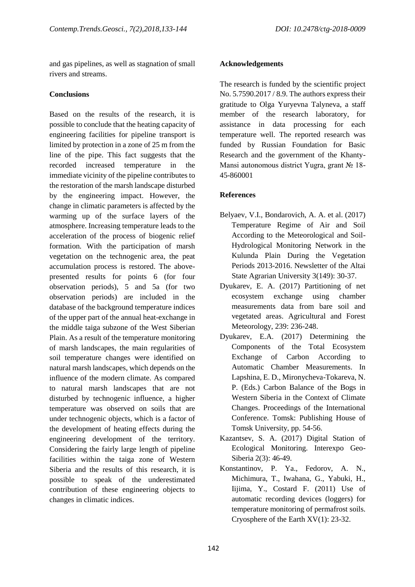and gas pipelines, as well as stagnation of small rivers and streams.

## **Conclusions**

Based on the results of the research, it is possible to conclude that the heating capacity of engineering facilities for pipeline transport is limited by protection in a zone of 25 m from the line of the pipe. This fact suggests that the recorded increased temperature in the immediate vicinity of the pipeline contributes to the restoration of the marsh landscape disturbed by the engineering impact. However, the change in climatic parameters is affected by the warming up of the surface layers of the atmosphere. Increasing temperature leads to the acceleration of the process of biogenic relief formation. With the participation of marsh vegetation on the technogenic area, the peat accumulation process is restored. The abovepresented results for points 6 (for four observation periods), 5 and 5a (for two observation periods) are included in the database of the background temperature indices of the upper part of the annual heat-exchange in the middle taiga subzone of the West Siberian Plain. As a result of the temperature monitoring of marsh landscapes, the main regularities of soil temperature changes were identified on natural marsh landscapes, which depends on the influence of the modern climate. As compared to natural marsh landscapes that are not disturbed by technogenic influence, a higher temperature was observed on soils that are under technogenic objects, which is a factor of the development of heating effects during the engineering development of the territory. Considering the fairly large length of pipeline facilities within the taiga zone of Western Siberia and the results of this research, it is possible to speak of the underestimated contribution of these engineering objects to changes in climatic indices.

# **Acknowledgements**

The research is funded by the scientific project No. 5.7590.2017 / 8.9. The authors express their gratitude to Olga Yuryevna Talyneva, a staff member of the research laboratory, for assistance in data processing for each temperature well. The reported research was funded by Russian Foundation for Basic Research and the government of the Khanty-Mansi autonomous district Yugra, grant № 18- 45-860001

# **References**

- Belyaev, V.I., Bondarovich, A. A. et al. (2017) Temperature Regime of Air and Soil According to the Meteorological and Soil-Hydrological Monitoring Network in the Kulunda Plain During the Vegetation Periods 2013-2016. Newsletter of the Altai State Agrarian University 3(149): 30-37.
- Dyukarev, E. A. (2017) Partitioning of net ecosystem exchange using chamber measurements data from bare soil and vegetated areas. Agricultural and Forest Meteorology, 239: 236-248.
- Dyukarev, E.A. (2017) Determining the Components of the Total Ecosystem Exchange of Carbon According to Automatic Chamber Measurements. In Lapshina, E. D., Mironycheva-Tokareva, N. P. (Eds.) Carbon Balance of the Bogs in Western Siberia in the Context of Climate Changes. Proceedings of the International Conference. Tomsk: Publishing House of Tomsk University, pp. 54-56.
- Kazantsev, S. A. (2017) Digital Station of Ecological Monitoring. Interexpo Geo-Siberia 2(3): 46-49.
- Konstantinov, P. Ya., Fedorov, A. N., Michimura, T., Iwahana, G., Yabuki, H., Iijima, Y., Costard F. (2011) Use of automatic recording devices (loggers) for temperature monitoring of permafrost soils. Cryosphere of the Earth XV(1): 23-32.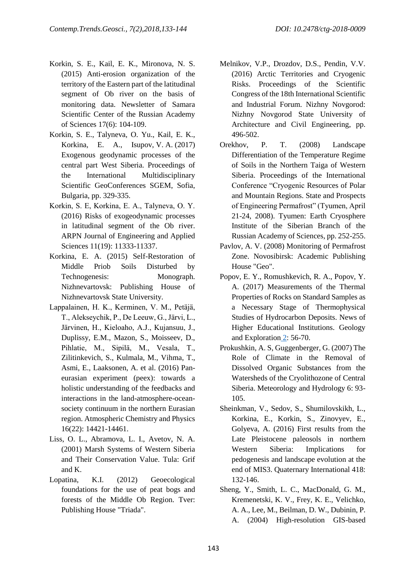- Korkin, S. E., Kail, E. K., Mironova, N. S. (2015) Anti-erosion organization of the territory of the Eastern part of the latitudinal segment of Ob river on the basis of monitoring data. Newsletter of Samara Scientific Center of the Russian Academy of Sciences 17(6): 104-109.
- Korkin, S. E., Talyneva, O. Yu., Kail, E. K., Korkina, E. A., Isupov, V. A. (2017) Exogenous geodynamic processes of the central part West Siberia. Proceedings of the International Multidisciplinary Scientific GeoConferences SGEM, Sofia, Bulgaria, pp. 329-335.
- Korkin, S. Е, Korkina, E. A., Talyneva, O. Y. (2016) Risks of exogeodynamic processes in latitudinal segment of the Ob river. ARPN Journal of Engineering and Applied Sciences 11(19): 11333-11337.
- Korkina, E. A. (2015) Self-Restoration of Middle Priob Soils Disturbed by Technogenesis: Monograph. Nizhnevartovsk: Publishing House of Nizhnevartovsk State University.
- Lappalainen, H. K., Kerminen, V. M., Petäjä, T., Alekseychik, P., De Leeuw, G., Järvi, L., Järvinen, H., Kieloaho, A.J., Kujansuu, J., Duplissy, E.M., Mazon, S., Moisseev, D., Pihlatie, M., Sipilä, M., Vesala, T., Zilitinkevich, S., Kulmala, M., Vihma, T., Asmi, E., Laaksonen, A. et al. (2016) Paneurasian experiment (peex): towards a holistic understanding of the feedbacks and interactions in the land-atmosphere-oceansociety continuum in the northern Eurasian region. Atmospheric Chemistry and Physics 16(22): 14421-14461.
- Liss, O. L., Abramova, L. I., Avetov, N. A. (2001) Marsh Systems of Western Siberia and Their Conservation Value. Tula: Grif and K.
- Lopatina, K.I. (2012) Geoecological foundations for the use of peat bogs and forests of the Middle Ob Region. Tver: Publishing House "Triada".
- Melnikov, V.P., Drozdov, D.S., Pendin, V.V. (2016) Arctic Territories and Cryogenic Risks. Proceedings of the Scientific Congress of the 18th International Scientific and Industrial Forum. Nizhny Novgorod: Nizhny Novgorod State University of Architecture and Civil Engineering, pp. 496-502.
- Orekhov, P. T. (2008) Landscape Differentiation of the Temperature Regime of Soils in the Northern Taiga of Western Siberia. Proceedings of the International Conference "Cryogenic Resources of Polar and Mountain Regions. State and Prospects of Engineering Permafrost" (Tyumen, April 21-24, 2008). Tyumen: Earth Cryosphere Institute of the Siberian Branch of the Russian Academy of Sciences, pp. 252-255.
- Pavlov, A. V. (2008) Monitoring of Permafrost Zone. Novosibirsk: Academic Publishing House "Geo".
- Popov, E. Y., Romushkevich, R. A., Popov, Y. A. (2017) Measurements of the Thermal Properties of Rocks on Standard Samples as a Necessary Stage of Thermophysical Studies of Hydrocarbon Deposits. News of Higher Educational Institutions. Geology and Exploration [2:](https://elibrary.ru/contents.asp?issueid=1841185&selid=29444228) 56-70.
- Prokushkin, A. S, Guggenberger, G. (2007) The Role of Climate in the Removal of Dissolved Organic Substances from the Watersheds of the Cryolithozone of Central Siberia. Meteorology and Hydrology 6: 93- 105.
- Sheinkman, V., Sedov, S., Shumilovskikh, L., Korkina, E., Korkin, S., Zinovyev, E., Golyeva, A. (2016) First results from the Late Pleistocene paleosols in northern Western Siberia: Implications for pedogenesis and landscape evolution at the end of MIS3. Quaternary International 418: 132-146.
- Sheng, Y., Smith, L. C., MacDonald, G. M., Kremenetski, K. V., Frey, K. E., Velichko, A. A., Lee, M., Beilman, D. W., Dubinin, P. A. (2004) High-resolution GIS-based